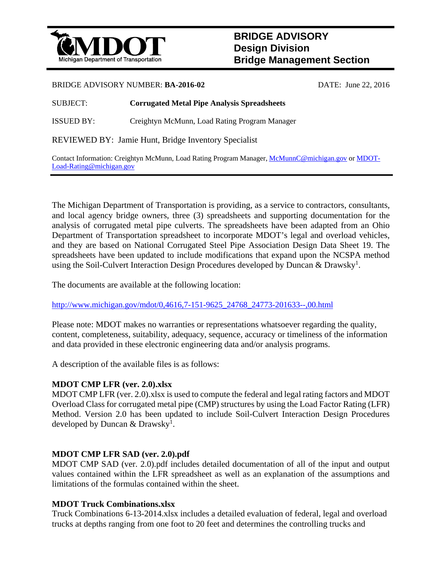

# **BRIDGE ADVISORY Design Division Bridge Management Section**

#### BRIDGE ADVISORY NUMBER: **BA-2016-02** DATE: June 22, 2016

## SUBJECT: **Corrugated Metal Pipe Analysis Spreadsheets**

ISSUED BY: Creightyn McMunn, Load Rating Program Manager

REVIEWED BY: Jamie Hunt, Bridge Inventory Specialist

Contact Information: Creightyn McMunn, Load Rating Program Manager, McMunnC@michigan.gov or MDOT-Load-Rating@michigan.gov

The Michigan Department of Transportation is providing, as a service to contractors, consultants, and local agency bridge owners, three (3) spreadsheets and supporting documentation for the analysis of corrugated metal pipe culverts. The spreadsheets have been adapted from an Ohio Department of Transportation spreadsheet to incorporate MDOT's legal and overload vehicles, and they are based on National Corrugated Steel Pipe Association Design Data Sheet 19. The spreadsheets have been updated to include modifications that expand upon the NCSPA method using the Soil-Culvert Interaction Design Procedures developed by Duncan & Drawsky<sup>1</sup>.

The documents are available at the following location:

http://www.michigan.gov/mdot/0,4616,7-151-9625\_24768\_24773-201633--,00.html

Please note: MDOT makes no warranties or representations whatsoever regarding the quality, content, completeness, suitability, adequacy, sequence, accuracy or timeliness of the information and data provided in these electronic engineering data and/or analysis programs.

A description of the available files is as follows:

## **MDOT CMP LFR (ver. 2.0).xlsx**

MDOT CMP LFR (ver. 2.0).xlsx is used to compute the federal and legal rating factors and MDOT Overload Class for corrugated metal pipe (CMP) structures by using the Load Factor Rating (LFR) Method. Version 2.0 has been updated to include Soil-Culvert Interaction Design Procedures developed by Duncan  $&$  Drawsky<sup>1</sup>.

## **MDOT CMP LFR SAD (ver. 2.0).pdf**

MDOT CMP SAD (ver. 2.0).pdf includes detailed documentation of all of the input and output values contained within the LFR spreadsheet as well as an explanation of the assumptions and limitations of the formulas contained within the sheet.

## **MDOT Truck Combinations.xlsx**

Truck Combinations 6-13-2014.xlsx includes a detailed evaluation of federal, legal and overload trucks at depths ranging from one foot to 20 feet and determines the controlling trucks and